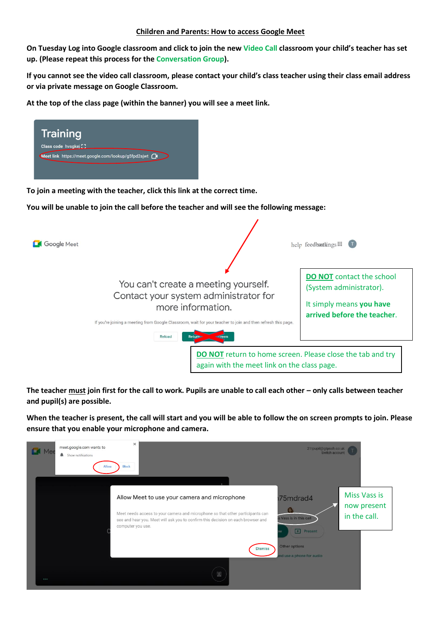**On Tuesday Log into Google classroom and click to join the new Video Call classroom your child's teacher has set up. (Please repeat this process for the Conversation Group).** 

**If you cannot see the video call classroom, please contact your child's class teacher using their class email address or via private message on Google Classroom.** 

**At the top of the class page (within the banner) you will see a meet link.**



If you're joining a meeting from Google Classroom, wait for your teacher to join and then refresh this page.

**DO NOT** return to home screen. Please close the tab and try again with the meet link on the class page.

**The teacher must join first for the call to work. Pupils are unable to call each other – only calls between teacher and pupil(s) are possible.** 

**When the teacher is present, the call will start and you will be able to follow the on screen prompts to join. Please ensure that you enable your microphone and camera.**